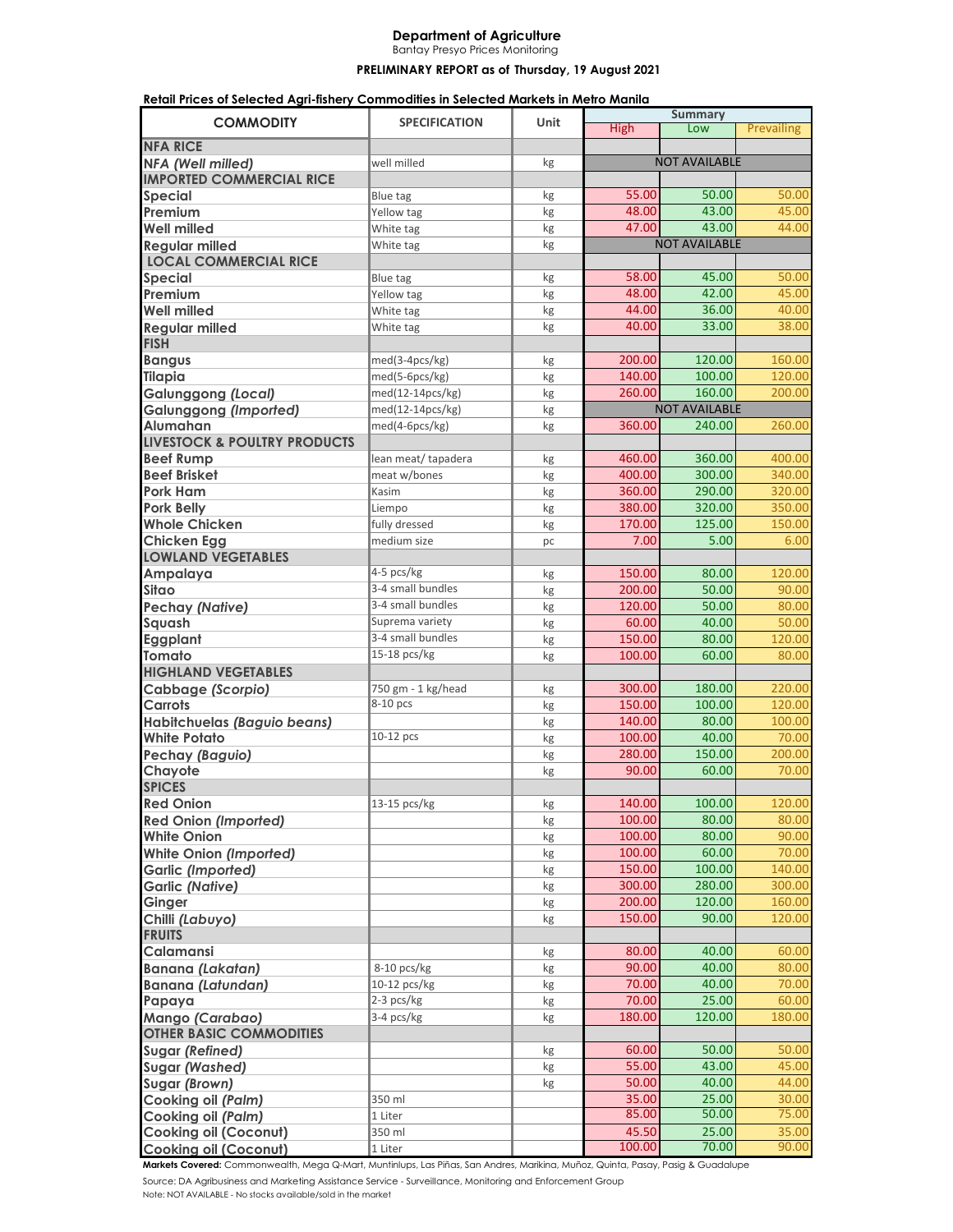## **Department of Agriculture**

Bantay Presyo Prices Monitoring

## PRELIMINARY REPORT as of Thursday, 19 August 2021

| Retail Prices of Selected Agri-fishery Commodities in Selected Markets in Metro Manila |                                                        |          |                  |                      |                 |
|----------------------------------------------------------------------------------------|--------------------------------------------------------|----------|------------------|----------------------|-----------------|
| <b>COMMODITY</b>                                                                       | <b>SPECIFICATION</b>                                   | Unit     |                  | <b>Summary</b>       |                 |
| <b>NFA RICE</b>                                                                        |                                                        |          | <b>High</b>      | Low                  | Prevailing      |
| NFA (Well milled)                                                                      | well milled                                            | kg       |                  | <b>NOT AVAILABLE</b> |                 |
| <b>IMPORTED COMMERCIAL RICE</b>                                                        |                                                        |          |                  |                      |                 |
| <b>Special</b>                                                                         | Blue tag                                               | kg       | 55.00            | 50.00                | 50.00           |
| Premium                                                                                | Yellow tag                                             | kg       | 48.00            | 43.00                | 45.00           |
| <b>Well milled</b>                                                                     | White tag                                              | kg       | 47.00            | 43.00                | 44.00           |
| <b>Regular milled</b>                                                                  | White tag                                              | kg       |                  | <b>NOT AVAILABLE</b> |                 |
| <b>LOCAL COMMERCIAL RICE</b>                                                           |                                                        |          |                  |                      |                 |
| <b>Special</b>                                                                         | Blue tag                                               | kg       | 58.00            | 45.00                | 50.00           |
| Premium                                                                                | Yellow tag                                             | kg       | 48.00            | 42.00                | 45.00           |
| <b>Well milled</b>                                                                     | White tag                                              | kg       | 44.00            | 36.00                | 40.00           |
| <b>Regular milled</b>                                                                  | White tag                                              | kg       | 40.00            | 33.00                | 38.00           |
| <b>FISH</b>                                                                            |                                                        |          |                  |                      |                 |
| <b>Bangus</b>                                                                          | med(3-4pcs/kg)                                         | kg       | 200.00           | 120.00               | 160.00          |
| <b>Tilapia</b>                                                                         | med(5-6pcs/kg)                                         | kg       | 140.00           | 100.00               | 120.00          |
| <b>Galunggong (Local)</b>                                                              | $\overline{\mathsf{med}}(12\text{-}14\mathsf{pcs/kg})$ | kg       | 260.00           | 160.00               | 200.00          |
| <b>Galunggong (Imported)</b>                                                           | med(12-14pcs/kg)                                       | kg       |                  | <b>NOT AVAILABLE</b> |                 |
| <b>Alumahan</b>                                                                        | med(4-6pcs/kg)                                         | kg       | 360.00           | 240.00               | 260.00          |
| <b>LIVESTOCK &amp; POULTRY PRODUCTS</b>                                                |                                                        |          |                  |                      |                 |
| <b>Beef Rump</b>                                                                       | lean meat/ tapadera                                    | kg       | 460.00           | 360.00               | 400.00          |
| <b>Beef Brisket</b>                                                                    | meat w/bones                                           | kg       | 400.00           | 300.00               | 340.00          |
| Pork Ham                                                                               | Kasim                                                  | kg       | 360.00           | 290.00               | 320.00          |
| <b>Pork Belly</b>                                                                      | Liempo                                                 | kg       | 380.00           | 320.00               | 350.00          |
| <b>Whole Chicken</b>                                                                   | fully dressed                                          | kg       | 170.00           | 125.00               | 150.00          |
| <b>Chicken Egg</b>                                                                     | medium size                                            | pc       | 7.00             | 5.00                 | 6.00            |
| <b>LOWLAND VEGETABLES</b>                                                              | 4-5 pcs/kg                                             |          |                  |                      |                 |
| Ampalaya                                                                               | 3-4 small bundles                                      | kg       | 150.00<br>200.00 | 80.00<br>50.00       | 120.00<br>90.00 |
| Sitao                                                                                  | 3-4 small bundles                                      | kg       | 120.00           | 50.00                | 80.00           |
| <b>Pechay (Native)</b><br>Squash                                                       | Suprema variety                                        | kg<br>kg | 60.00            | 40.00                | 50.00           |
| Eggplant                                                                               | 3-4 small bundles                                      | kg       | 150.00           | 80.00                | 120.00          |
| <b>Tomato</b>                                                                          | 15-18 pcs/kg                                           | kg       | 100.00           | 60.00                | 80.00           |
| <b>HIGHLAND VEGETABLES</b>                                                             |                                                        |          |                  |                      |                 |
| Cabbage (Scorpio)                                                                      | 750 gm - 1 kg/head                                     | kg       | 300.00           | 180.00               | 220.00          |
| Carrots                                                                                | 8-10 pcs                                               | kg       | 150.00           | 100.00               | 120.00          |
| Habitchuelas (Baguio beans)                                                            |                                                        | kg       | 140.00           | 80.00                | 100.00          |
| <b>White Potato</b>                                                                    | 10-12 pcs                                              | kg       | 100.00           | 40.00                | 70.00           |
| <b>Pechay (Baguio)</b>                                                                 |                                                        | kg       | 280.00           | 150.00               | 200.00          |
| Chayote                                                                                |                                                        | kg       | 90.00            | 60.00                | 70.00           |
| <b>SPICES</b>                                                                          |                                                        |          |                  |                      |                 |
| <b>Red Onion</b>                                                                       | 13-15 pcs/kg                                           | kg       | 140.00           | 100.00               | 120.00          |
| <b>Red Onion (Imported)</b>                                                            |                                                        | kg       | 100.00           | 80.00                | 80.00           |
| <b>White Onion</b>                                                                     |                                                        | kg       | 100.00           | 80.00                | 90.00           |
| <b>White Onion (Imported)</b>                                                          |                                                        | kg       | 100.00           | 60.00                | 70.00           |
| <b>Garlic (Imported)</b>                                                               |                                                        | kg       | 150.00           | 100.00               | 140.00          |
| <b>Garlic (Native)</b>                                                                 |                                                        | kg       | 300.00           | 280.00               | 300.00          |
| Ginger                                                                                 |                                                        | kg       | 200.00           | 120.00               | 160.00          |
| Chilli (Labuyo)                                                                        |                                                        | kg       | 150.00           | 90.00                | 120.00          |
| <b>FRUITS</b>                                                                          |                                                        |          |                  |                      |                 |
| Calamansi                                                                              |                                                        | kg       | 80.00            | 40.00<br>40.00       | 60.00           |
| <b>Banana (Lakatan)</b>                                                                | 8-10 pcs/kg                                            | kg       | 90.00<br>70.00   |                      | 80.00           |
| <b>Banana (Latundan)</b>                                                               | 10-12 pcs/kg<br>2-3 pcs/kg                             | kg<br>kg | 70.00            | 40.00<br>25.00       | 70.00<br>60.00  |
| Papaya<br>Mango (Carabao)                                                              | 3-4 pcs/kg                                             | kg       | 180.00           | 120.00               | 180.00          |
| <b>OTHER BASIC COMMODITIES</b>                                                         |                                                        |          |                  |                      |                 |
| <b>Sugar (Refined)</b>                                                                 |                                                        | kg       | 60.00            | 50.00                | 50.00           |
| <b>Sugar (Washed)</b>                                                                  |                                                        | kg       | 55.00            | 43.00                | 45.00           |
| Sugar (Brown)                                                                          |                                                        | kg       | 50.00            | 40.00                | 44.00           |
| Cooking oil (Palm)                                                                     | 350 ml                                                 |          | 35.00            | 25.00                | 30.00           |
| Cooking oil (Palm)                                                                     | 1 Liter                                                |          | 85.00            | 50.00                | 75.00           |
| <b>Cooking oil (Coconut)</b>                                                           | 350 ml                                                 |          | 45.50            | 25.00                | 35.00           |
| <b>Cooking oil (Coconut)</b>                                                           | 1 Liter                                                |          | 100.00           | 70.00                | 90.00           |

Source: DA Agribusiness and Marketing Assistance Service - Surveillance, Monitoring and Enforcement Group Note: NOT AVAILABLE - No stocks available/sold in the market **Markets Covered:** Commonwealth, Mega Q-Mart, Muntinlups, Las Piñas, San Andres, Marikina, Muñoz, Quinta, Pasay, Pasig & Guadalupe